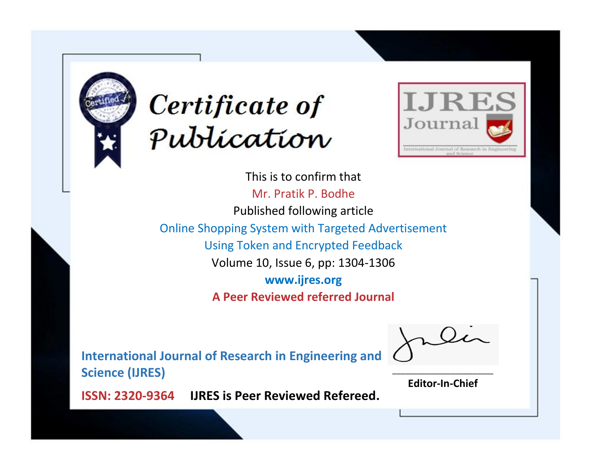



This is to confirm that Mr. Pratik P. Bodhe Published following article Online Shopping System with Targeted Advertisement Using Token and Encrypted Feedback Volume 10, Issue 6, pp: 1304-1306 **www.ijres.org A Peer Reviewed referred Journal**

**International Journal of Research in Engineering and Science (IJRES)**

\_\_\_\_\_\_\_\_\_\_\_\_\_\_\_\_\_\_\_\_\_\_\_\_ **Editor-In-Chief**

**Journal.**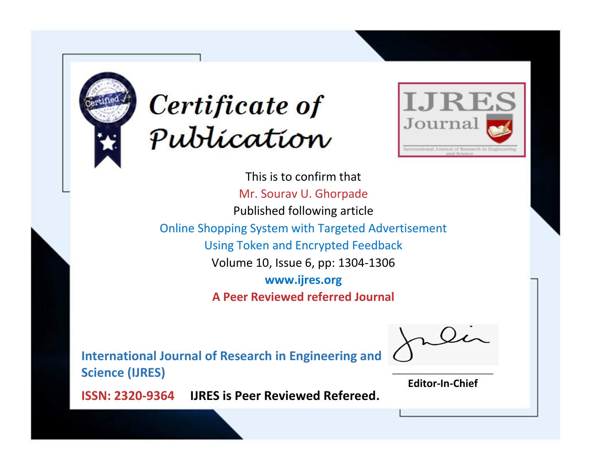



This is to confirm that Mr. Sourav U. Ghorpade Published following article Online Shopping System with Targeted Advertisement Using Token and Encrypted Feedback Volume 10, Issue 6, pp: 1304-1306 **www.ijres.org A Peer Reviewed referred Journal**

**International Journal of Research in Engineering and Science (IJRES)**

\_\_\_\_\_\_\_\_\_\_\_\_\_\_\_\_\_\_\_\_\_\_\_\_ **Editor-In-Chief**

**Journal.**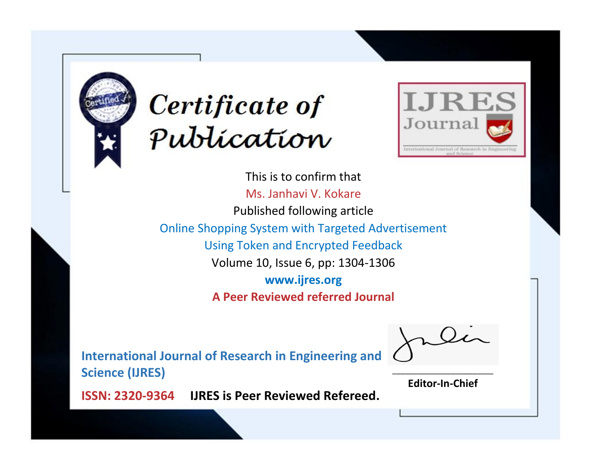



This is to confirm that Ms. Janhavi V. Kokare Published following article Online Shopping System with Targeted Advertisement Using Token and Encrypted Feedback Volume 10, Issue 6, pp: 1304-1306 **www.ijres.org A Peer Reviewed referred Journal**

**International Journal of Research in Engineering and Science (IJRES)**

\_\_\_\_\_\_\_\_\_\_\_\_\_\_\_\_\_\_\_\_\_\_\_\_ **Editor-In-Chief**

**Journal.**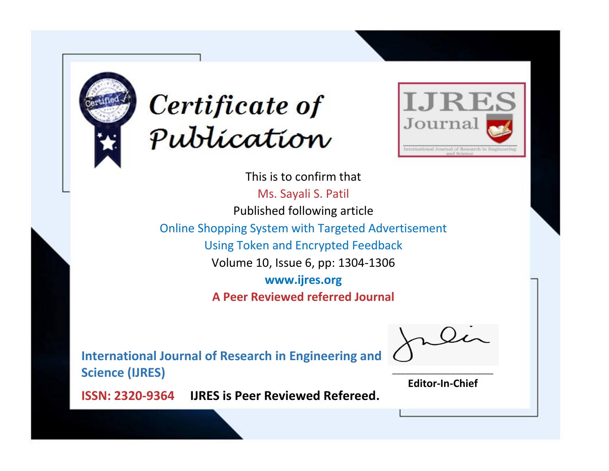



This is to confirm that Ms. Sayali S. Patil Published following article Online Shopping System with Targeted Advertisement Using Token and Encrypted Feedback Volume 10, Issue 6, pp: 1304-1306 **www.ijres.org A Peer Reviewed referred Journal**

**International Journal of Research in Engineering and Science (IJRES)**

\_\_\_\_\_\_\_\_\_\_\_\_\_\_\_\_\_\_\_\_\_\_\_\_ **Editor-In-Chief**

**Journal.**